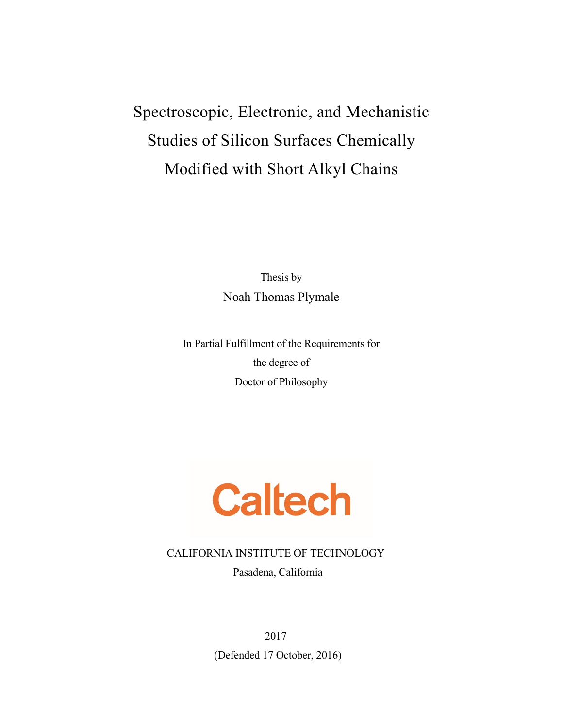# Spectroscopic, Electronic, and Mechanistic Studies of Silicon Surfaces Chemically Modified with Short Alkyl Chains

Thesis by Noah Thomas Plymale

In Partial Fulfillment of the Requirements for the degree of Doctor of Philosophy



CALIFORNIA INSTITUTE OF TECHNOLOGY

Pasadena, California

2017 (Defended 17 October, 2016)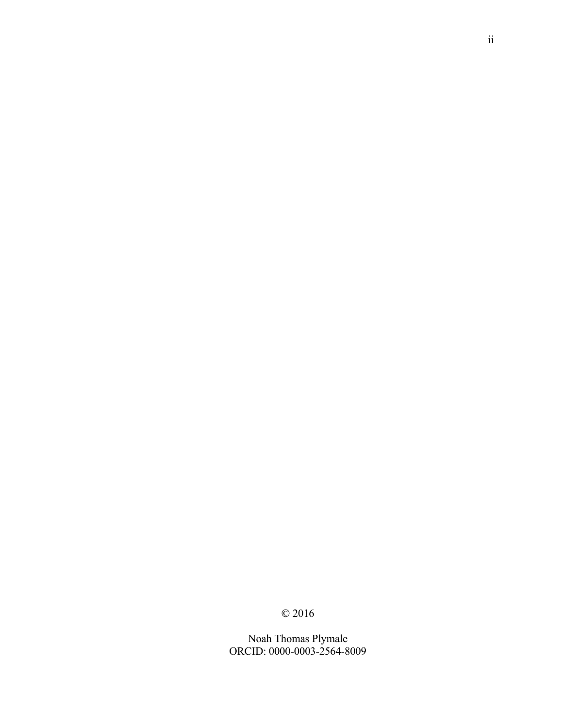© 2016

Noah Thomas Plymale ORCID: 0000-0003-2564-8009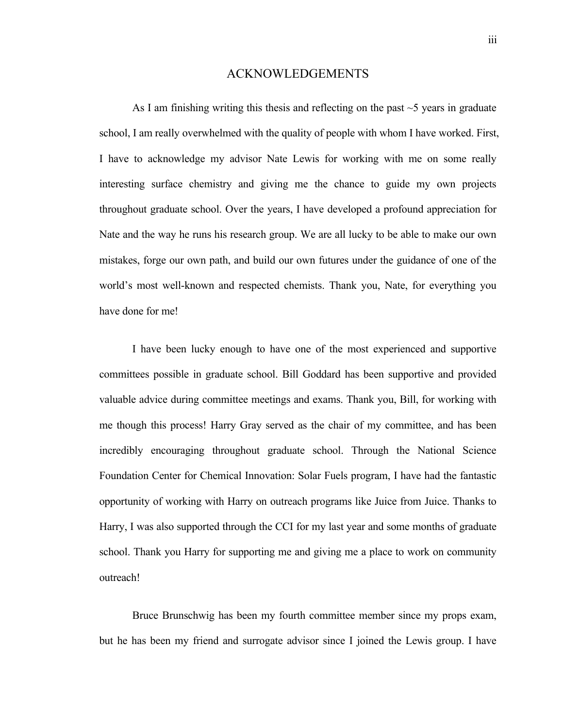### ACKNOWLEDGEMENTS

As I am finishing writing this thesis and reflecting on the past  $\sim$  5 years in graduate school, I am really overwhelmed with the quality of people with whom I have worked. First, I have to acknowledge my advisor Nate Lewis for working with me on some really interesting surface chemistry and giving me the chance to guide my own projects throughout graduate school. Over the years, I have developed a profound appreciation for Nate and the way he runs his research group. We are all lucky to be able to make our own mistakes, forge our own path, and build our own futures under the guidance of one of the world's most well-known and respected chemists. Thank you, Nate, for everything you have done for me!

I have been lucky enough to have one of the most experienced and supportive committees possible in graduate school. Bill Goddard has been supportive and provided valuable advice during committee meetings and exams. Thank you, Bill, for working with me though this process! Harry Gray served as the chair of my committee, and has been incredibly encouraging throughout graduate school. Through the National Science Foundation Center for Chemical Innovation: Solar Fuels program, I have had the fantastic opportunity of working with Harry on outreach programs like Juice from Juice. Thanks to Harry, I was also supported through the CCI for my last year and some months of graduate school. Thank you Harry for supporting me and giving me a place to work on community outreach!

Bruce Brunschwig has been my fourth committee member since my props exam, but he has been my friend and surrogate advisor since I joined the Lewis group. I have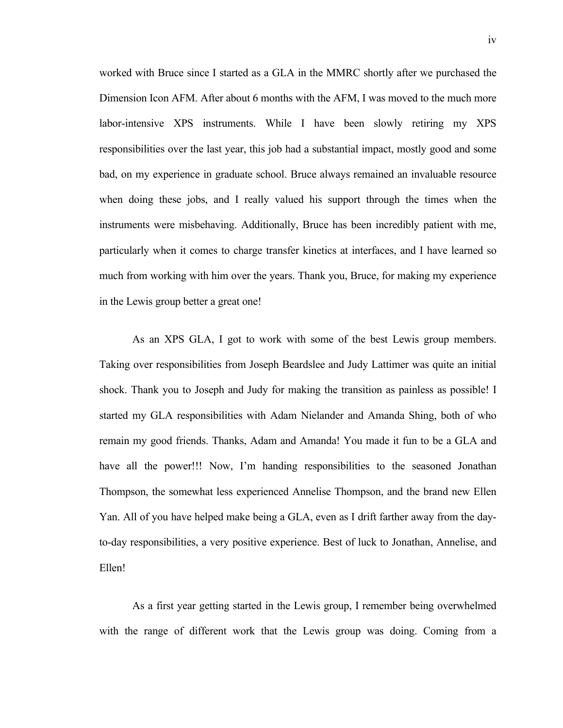worked with Bruce since I started as a GLA in the MMRC shortly after we purchased the Dimension Icon AFM. After about 6 months with the AFM, I was moved to the much more labor-intensive XPS instruments. While I have been slowly retiring my XPS responsibilities over the last year, this job had a substantial impact, mostly good and some bad, on my experience in graduate school. Bruce always remained an invaluable resource when doing these jobs, and I really valued his support through the times when the instruments were misbehaving. Additionally, Bruce has been incredibly patient with me, particularly when it comes to charge transfer kinetics at interfaces, and I have learned so much from working with him over the years. Thank you, Bruce, for making my experience in the Lewis group better a great one!

As an XPS GLA, I got to work with some of the best Lewis group members. Taking over responsibilities from Joseph Beardslee and Judy Lattimer was quite an initial shock. Thank you to Joseph and Judy for making the transition as painless as possible! I started my GLA responsibilities with Adam Nielander and Amanda Shing, both of who remain my good friends. Thanks, Adam and Amanda! You made it fun to be a GLA and have all the power!!! Now, I'm handing responsibilities to the seasoned Jonathan Thompson, the somewhat less experienced Annelise Thompson, and the brand new Ellen Yan. All of you have helped make being a GLA, even as I drift farther away from the dayto-day responsibilities, a very positive experience. Best of luck to Jonathan, Annelise, and Ellen!

As a first year getting started in the Lewis group, I remember being overwhelmed with the range of different work that the Lewis group was doing. Coming from a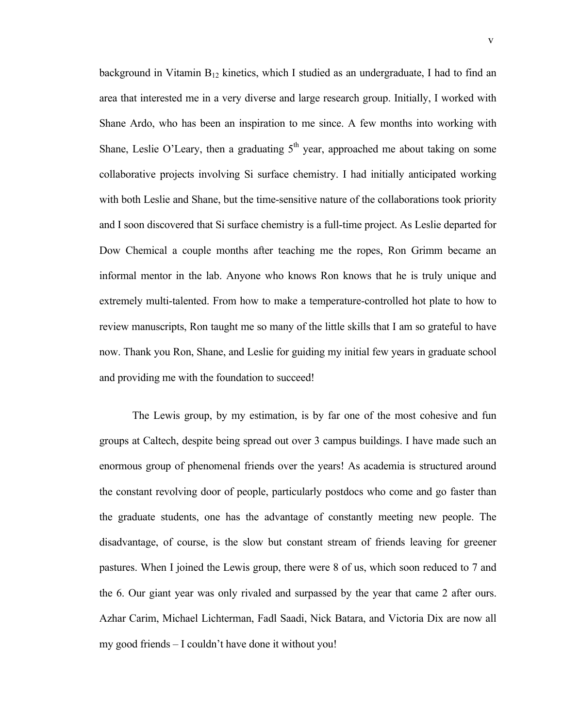background in Vitamin  $B_{12}$  kinetics, which I studied as an undergraduate, I had to find an area that interested me in a very diverse and large research group. Initially, I worked with Shane Ardo, who has been an inspiration to me since. A few months into working with Shane, Leslie O'Leary, then a graduating  $5<sup>th</sup>$  year, approached me about taking on some collaborative projects involving Si surface chemistry. I had initially anticipated working with both Leslie and Shane, but the time-sensitive nature of the collaborations took priority and I soon discovered that Si surface chemistry is a full-time project. As Leslie departed for Dow Chemical a couple months after teaching me the ropes, Ron Grimm became an informal mentor in the lab. Anyone who knows Ron knows that he is truly unique and extremely multi-talented. From how to make a temperature-controlled hot plate to how to review manuscripts, Ron taught me so many of the little skills that I am so grateful to have now. Thank you Ron, Shane, and Leslie for guiding my initial few years in graduate school and providing me with the foundation to succeed!

The Lewis group, by my estimation, is by far one of the most cohesive and fun groups at Caltech, despite being spread out over 3 campus buildings. I have made such an enormous group of phenomenal friends over the years! As academia is structured around the constant revolving door of people, particularly postdocs who come and go faster than the graduate students, one has the advantage of constantly meeting new people. The disadvantage, of course, is the slow but constant stream of friends leaving for greener pastures. When I joined the Lewis group, there were 8 of us, which soon reduced to 7 and the 6. Our giant year was only rivaled and surpassed by the year that came 2 after ours. Azhar Carim, Michael Lichterman, Fadl Saadi, Nick Batara, and Victoria Dix are now all my good friends – I couldn't have done it without you!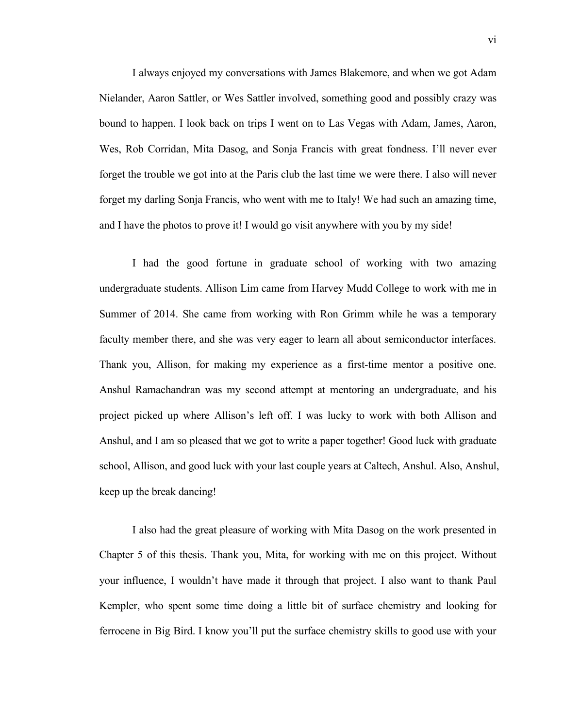I always enjoyed my conversations with James Blakemore, and when we got Adam Nielander, Aaron Sattler, or Wes Sattler involved, something good and possibly crazy was bound to happen. I look back on trips I went on to Las Vegas with Adam, James, Aaron, Wes, Rob Corridan, Mita Dasog, and Sonja Francis with great fondness. I'll never ever forget the trouble we got into at the Paris club the last time we were there. I also will never forget my darling Sonja Francis, who went with me to Italy! We had such an amazing time, and I have the photos to prove it! I would go visit anywhere with you by my side!

I had the good fortune in graduate school of working with two amazing undergraduate students. Allison Lim came from Harvey Mudd College to work with me in Summer of 2014. She came from working with Ron Grimm while he was a temporary faculty member there, and she was very eager to learn all about semiconductor interfaces. Thank you, Allison, for making my experience as a first-time mentor a positive one. Anshul Ramachandran was my second attempt at mentoring an undergraduate, and his project picked up where Allison's left off. I was lucky to work with both Allison and Anshul, and I am so pleased that we got to write a paper together! Good luck with graduate school, Allison, and good luck with your last couple years at Caltech, Anshul. Also, Anshul, keep up the break dancing!

I also had the great pleasure of working with Mita Dasog on the work presented in Chapter 5 of this thesis. Thank you, Mita, for working with me on this project. Without your influence, I wouldn't have made it through that project. I also want to thank Paul Kempler, who spent some time doing a little bit of surface chemistry and looking for ferrocene in Big Bird. I know you'll put the surface chemistry skills to good use with your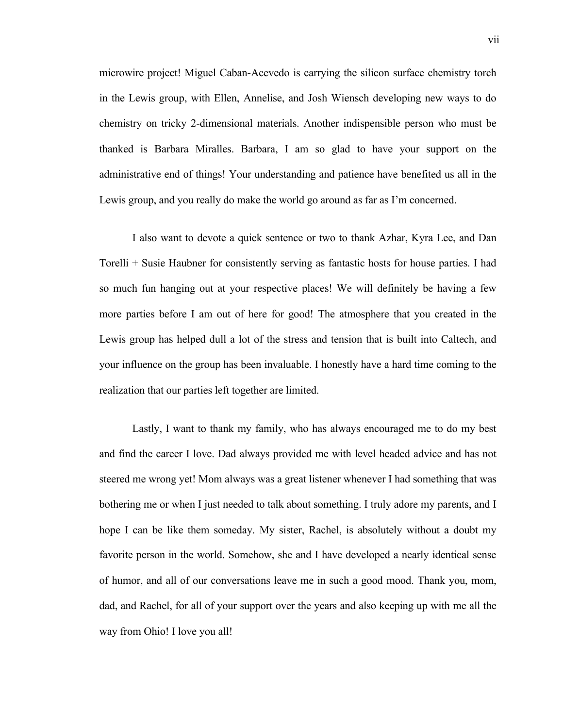microwire project! Miguel Caban-Acevedo is carrying the silicon surface chemistry torch in the Lewis group, with Ellen, Annelise, and Josh Wiensch developing new ways to do chemistry on tricky 2-dimensional materials. Another indispensible person who must be thanked is Barbara Miralles. Barbara, I am so glad to have your support on the administrative end of things! Your understanding and patience have benefited us all in the Lewis group, and you really do make the world go around as far as I'm concerned.

I also want to devote a quick sentence or two to thank Azhar, Kyra Lee, and Dan Torelli + Susie Haubner for consistently serving as fantastic hosts for house parties. I had so much fun hanging out at your respective places! We will definitely be having a few more parties before I am out of here for good! The atmosphere that you created in the Lewis group has helped dull a lot of the stress and tension that is built into Caltech, and your influence on the group has been invaluable. I honestly have a hard time coming to the realization that our parties left together are limited.

Lastly, I want to thank my family, who has always encouraged me to do my best and find the career I love. Dad always provided me with level headed advice and has not steered me wrong yet! Mom always was a great listener whenever I had something that was bothering me or when I just needed to talk about something. I truly adore my parents, and I hope I can be like them someday. My sister, Rachel, is absolutely without a doubt my favorite person in the world. Somehow, she and I have developed a nearly identical sense of humor, and all of our conversations leave me in such a good mood. Thank you, mom, dad, and Rachel, for all of your support over the years and also keeping up with me all the way from Ohio! I love you all!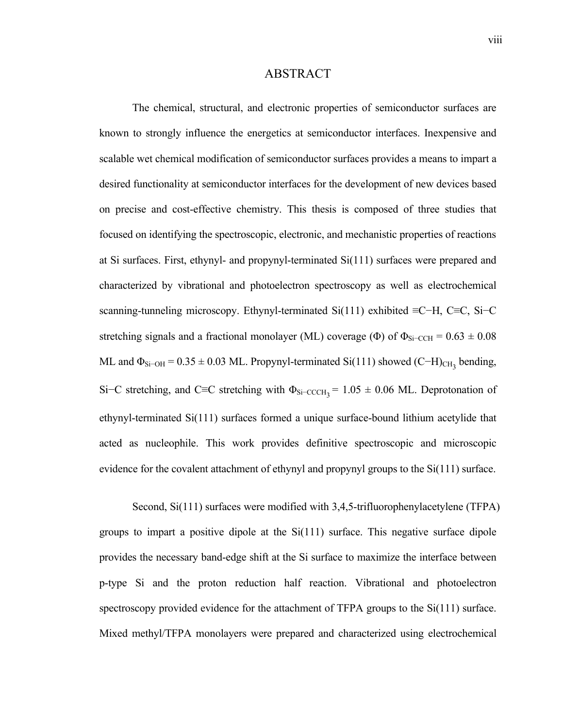### ABSTRACT

The chemical, structural, and electronic properties of semiconductor surfaces are known to strongly influence the energetics at semiconductor interfaces. Inexpensive and scalable wet chemical modification of semiconductor surfaces provides a means to impart a desired functionality at semiconductor interfaces for the development of new devices based on precise and cost-effective chemistry. This thesis is composed of three studies that focused on identifying the spectroscopic, electronic, and mechanistic properties of reactions at Si surfaces. First, ethynyl- and propynyl-terminated Si(111) surfaces were prepared and characterized by vibrational and photoelectron spectroscopy as well as electrochemical scanning-tunneling microscopy. Ethynyl-terminated Si(111) exhibited ≡C−H, C≡C, Si–C stretching signals and a fractional monolayer (ML) coverage (Φ) of  $\Phi_{Si-CCH} = 0.63 \pm 0.08$ ML and  $\Phi_{Si-OH} = 0.35 \pm 0.03$  ML. Propynyl-terminated Si(111) showed (C−H)<sub>CH<sub>3</sub></sub> bending, Si–C stretching, and C≡C stretching with  $\Phi_{Si-CCCH_3}$  = 1.05 ± 0.06 ML. Deprotonation of ethynyl-terminated Si(111) surfaces formed a unique surface-bound lithium acetylide that acted as nucleophile. This work provides definitive spectroscopic and microscopic evidence for the covalent attachment of ethynyl and propynyl groups to the Si(111) surface.

Second, Si(111) surfaces were modified with 3,4,5-trifluorophenylacetylene (TFPA) groups to impart a positive dipole at the Si(111) surface. This negative surface dipole provides the necessary band-edge shift at the Si surface to maximize the interface between p-type Si and the proton reduction half reaction. Vibrational and photoelectron spectroscopy provided evidence for the attachment of TFPA groups to the Si(111) surface. Mixed methyl/TFPA monolayers were prepared and characterized using electrochemical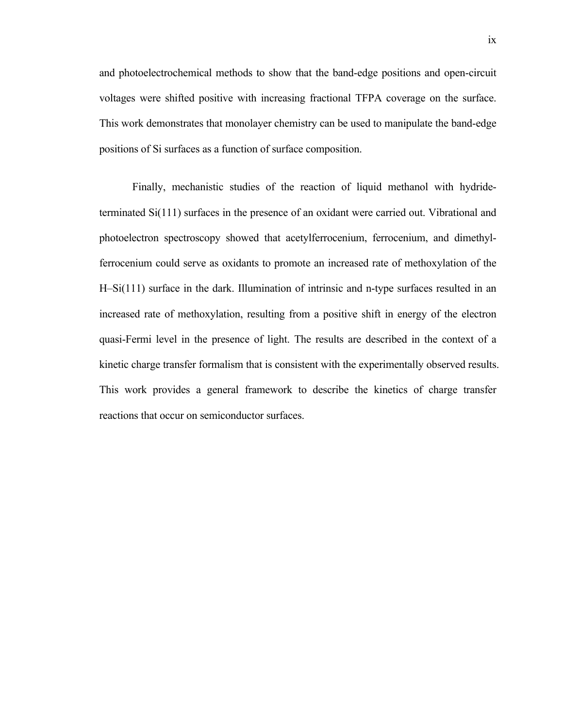and photoelectrochemical methods to show that the band-edge positions and open-circuit voltages were shifted positive with increasing fractional TFPA coverage on the surface. This work demonstrates that monolayer chemistry can be used to manipulate the band-edge positions of Si surfaces as a function of surface composition.

Finally, mechanistic studies of the reaction of liquid methanol with hydrideterminated Si(111) surfaces in the presence of an oxidant were carried out. Vibrational and photoelectron spectroscopy showed that acetylferrocenium, ferrocenium, and dimethylferrocenium could serve as oxidants to promote an increased rate of methoxylation of the H–Si(111) surface in the dark. Illumination of intrinsic and n-type surfaces resulted in an increased rate of methoxylation, resulting from a positive shift in energy of the electron quasi-Fermi level in the presence of light. The results are described in the context of a kinetic charge transfer formalism that is consistent with the experimentally observed results. This work provides a general framework to describe the kinetics of charge transfer reactions that occur on semiconductor surfaces.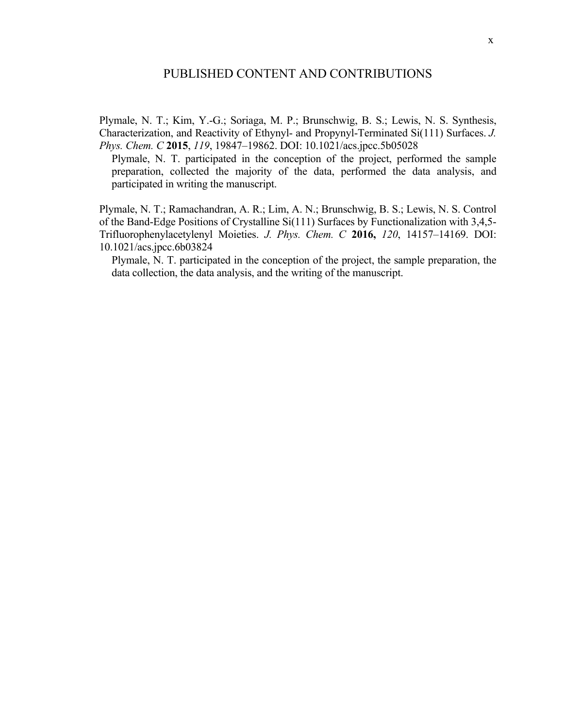Plymale, N. T.; Kim, Y.-G.; Soriaga, M. P.; Brunschwig, B. S.; Lewis, N. S. Synthesis, Characterization, and Reactivity of Ethynyl- and Propynyl-Terminated Si(111) Surfaces. *J. Phys. Chem. C* **2015**, *119*, 19847–19862. DOI: 10.1021/acs.jpcc.5b05028

Plymale, N. T. participated in the conception of the project, performed the sample preparation, collected the majority of the data, performed the data analysis, and participated in writing the manuscript.

Plymale, N. T.; Ramachandran, A. R.; Lim, A. N.; Brunschwig, B. S.; Lewis, N. S. Control of the Band-Edge Positions of Crystalline Si(111) Surfaces by Functionalization with 3,4,5- Trifluorophenylacetylenyl Moieties. *J. Phys. Chem. C* **2016,** *120*, 14157–14169. DOI: 10.1021/acs.jpcc.6b03824

Plymale, N. T. participated in the conception of the project, the sample preparation, the data collection, the data analysis, and the writing of the manuscript.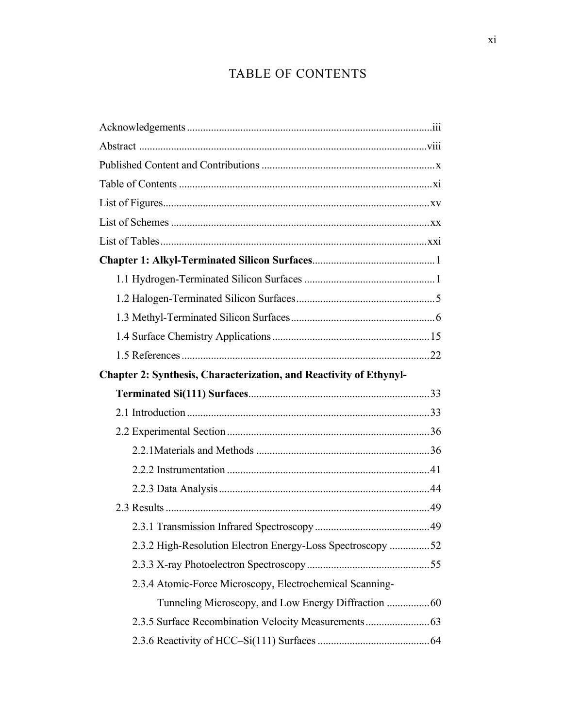# TABLE OF CONTENTS

| Chapter 2: Synthesis, Characterization, and Reactivity of Ethynyl- |  |
|--------------------------------------------------------------------|--|
|                                                                    |  |
|                                                                    |  |
|                                                                    |  |
|                                                                    |  |
|                                                                    |  |
|                                                                    |  |
|                                                                    |  |
|                                                                    |  |
| 2.3.2 High-Resolution Electron Energy-Loss Spectroscopy 52         |  |
|                                                                    |  |
| 2.3.4 Atomic-Force Microscopy, Electrochemical Scanning-           |  |
|                                                                    |  |
|                                                                    |  |
|                                                                    |  |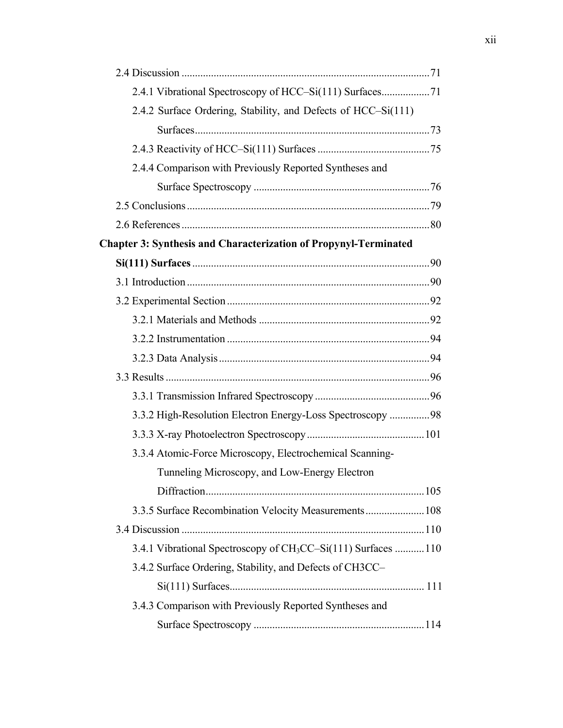| 2.4.1 Vibrational Spectroscopy of HCC-Si(111) Surfaces71                  |  |
|---------------------------------------------------------------------------|--|
| 2.4.2 Surface Ordering, Stability, and Defects of HCC–Si(111)             |  |
|                                                                           |  |
|                                                                           |  |
| 2.4.4 Comparison with Previously Reported Syntheses and                   |  |
|                                                                           |  |
|                                                                           |  |
|                                                                           |  |
| <b>Chapter 3: Synthesis and Characterization of Propynyl-Terminated</b>   |  |
|                                                                           |  |
|                                                                           |  |
|                                                                           |  |
|                                                                           |  |
|                                                                           |  |
|                                                                           |  |
|                                                                           |  |
|                                                                           |  |
| 3.3.2 High-Resolution Electron Energy-Loss Spectroscopy  98               |  |
|                                                                           |  |
| 3.3.4 Atomic-Force Microscopy, Electrochemical Scanning-                  |  |
| Tunneling Microscopy, and Low-Energy Electron                             |  |
|                                                                           |  |
| 3.3.5 Surface Recombination Velocity Measurements 108                     |  |
|                                                                           |  |
| 3.4.1 Vibrational Spectroscopy of CH <sub>3</sub> CC-Si(111) Surfaces 110 |  |
| 3.4.2 Surface Ordering, Stability, and Defects of CH3CC-                  |  |
|                                                                           |  |
| 3.4.3 Comparison with Previously Reported Syntheses and                   |  |
|                                                                           |  |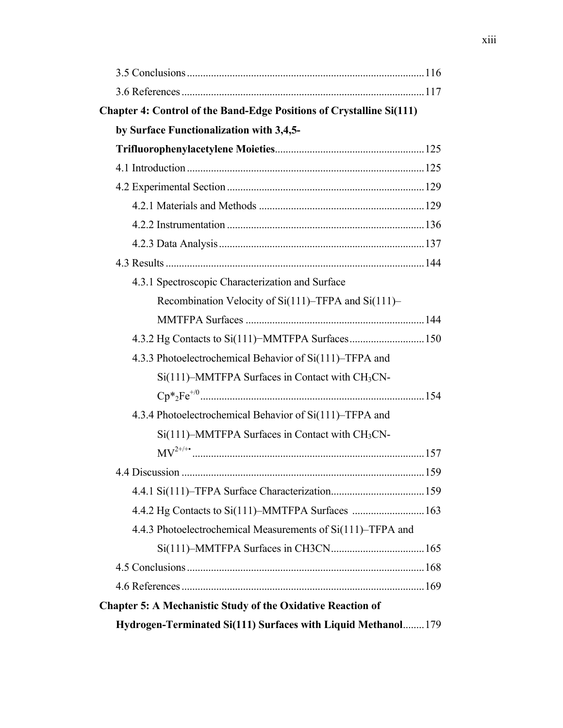| <b>Chapter 4: Control of the Band-Edge Positions of Crystalline Si(111)</b> |  |
|-----------------------------------------------------------------------------|--|
| by Surface Functionalization with 3,4,5-                                    |  |
|                                                                             |  |
|                                                                             |  |
|                                                                             |  |
|                                                                             |  |
|                                                                             |  |
|                                                                             |  |
|                                                                             |  |
| 4.3.1 Spectroscopic Characterization and Surface                            |  |
| Recombination Velocity of Si(111)–TFPA and Si(111)–                         |  |
|                                                                             |  |
| 4.3.2 Hg Contacts to Si(111)-MMTFPA Surfaces 150                            |  |
| 4.3.3 Photoelectrochemical Behavior of Si(111)-TFPA and                     |  |
| $Si(111)$ –MMTFPA Surfaces in Contact with $CH3CN$ –                        |  |
|                                                                             |  |
| 4.3.4 Photoelectrochemical Behavior of Si(111)–TFPA and                     |  |
| Si(111)-MMTFPA Surfaces in Contact with CH <sub>3</sub> CN-                 |  |
|                                                                             |  |
|                                                                             |  |
|                                                                             |  |
|                                                                             |  |
| 4.4.3 Photoelectrochemical Measurements of Si(111)–TFPA and                 |  |
|                                                                             |  |
|                                                                             |  |
|                                                                             |  |
| <b>Chapter 5: A Mechanistic Study of the Oxidative Reaction of</b>          |  |
| Hydrogen-Terminated Si(111) Surfaces with Liquid Methanol 179               |  |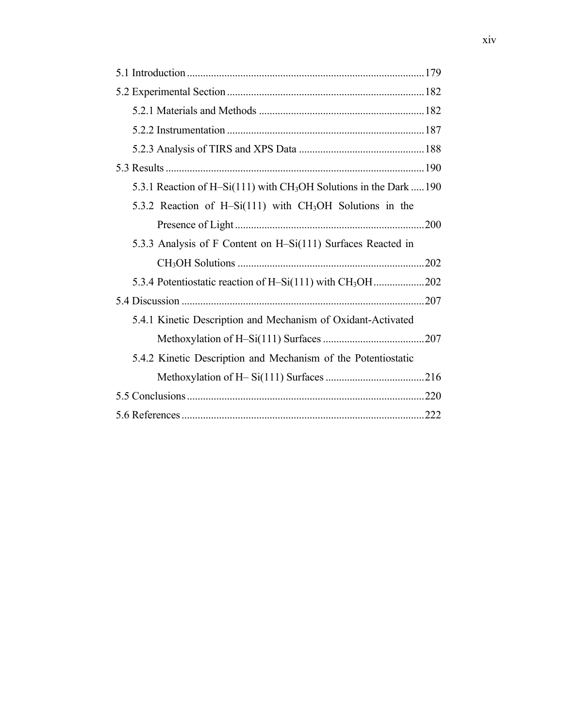| 5.3.1 Reaction of H–Si(111) with CH <sub>3</sub> OH Solutions in the Dark  190 |
|--------------------------------------------------------------------------------|
| 5.3.2 Reaction of H-Si(111) with CH <sub>3</sub> OH Solutions in the           |
|                                                                                |
| 5.3.3 Analysis of F Content on H-Si(111) Surfaces Reacted in                   |
|                                                                                |
|                                                                                |
|                                                                                |
| 5.4.1 Kinetic Description and Mechanism of Oxidant-Activated                   |
|                                                                                |
| 5.4.2 Kinetic Description and Mechanism of the Potentiostatic                  |
|                                                                                |
|                                                                                |
|                                                                                |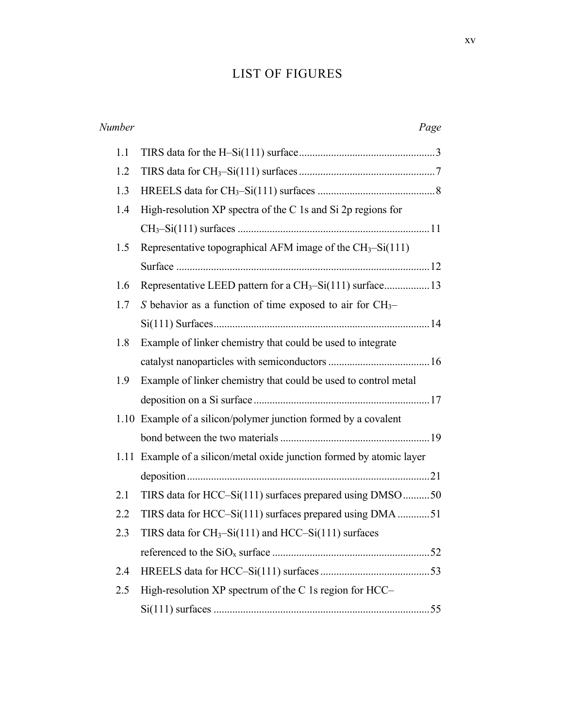## LIST OF FIGURES

| Number |                                                                       | Page |
|--------|-----------------------------------------------------------------------|------|
| 1.1    |                                                                       |      |
| 1.2    |                                                                       |      |
| 1.3    |                                                                       |      |
| 1.4    | High-resolution $XP$ spectra of the C 1s and Si 2p regions for        |      |
|        |                                                                       |      |
| 1.5    | Representative topographical AFM image of the $CH3-Si(111)$           |      |
|        |                                                                       |      |
| 1.6    | Representative LEED pattern for a CH <sub>3</sub> -Si(111) surface13  |      |
| 1.7    | S behavior as a function of time exposed to air for $CH_3$ -          |      |
|        |                                                                       |      |
| 1.8    | Example of linker chemistry that could be used to integrate           |      |
|        |                                                                       |      |
| 1.9    | Example of linker chemistry that could be used to control metal       |      |
|        |                                                                       |      |
|        | 1.10 Example of a silicon/polymer junction formed by a covalent       |      |
|        |                                                                       |      |
|        | 1.11 Example of a silicon/metal oxide junction formed by atomic layer |      |
|        |                                                                       |      |
| 2.1    | TIRS data for HCC–Si(111) surfaces prepared using DMSO 50             |      |
| 2.2    | TIRS data for HCC-Si(111) surfaces prepared using DMA 51              |      |
| 2.3    | TIRS data for $CH_3-Si(111)$ and HCC-Si(111) surfaces                 |      |
|        |                                                                       |      |
| 2.4    |                                                                       |      |
| 2.5    | High-resolution XP spectrum of the C 1s region for HCC–               |      |
|        |                                                                       |      |
|        |                                                                       |      |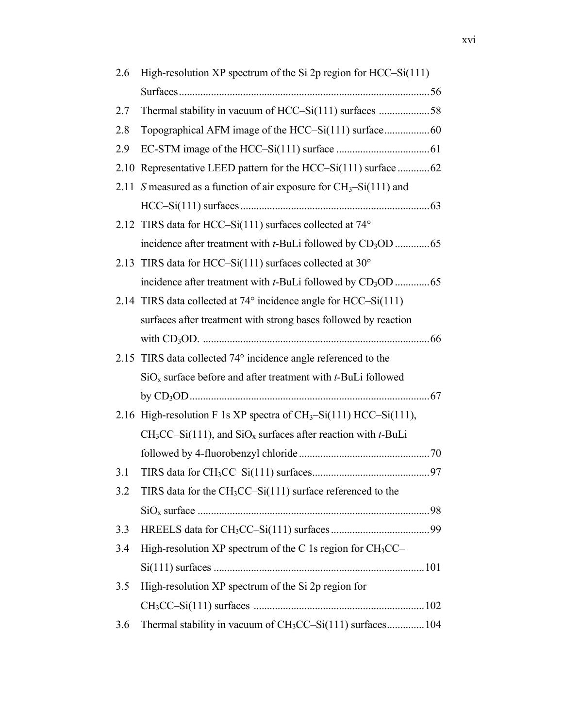| 2.6  | High-resolution XP spectrum of the Si 2p region for $HCC-Si(111)$        |
|------|--------------------------------------------------------------------------|
|      |                                                                          |
| 2.7  | Thermal stability in vacuum of HCC-Si(111) surfaces 58                   |
| 2.8  |                                                                          |
| 2.9  |                                                                          |
| 2.10 | Representative LEED pattern for the HCC-Si(111) surface 62               |
|      | 2.11 S measured as a function of air exposure for $CH_3-Si(111)$ and     |
|      |                                                                          |
|      | 2.12 TIRS data for HCC-Si(111) surfaces collected at 74°                 |
|      |                                                                          |
|      | 2.13 TIRS data for HCC-Si(111) surfaces collected at $30^{\circ}$        |
|      | incidence after treatment with t-BuLi followed by CD <sub>3</sub> OD 65  |
|      | 2.14 TIRS data collected at $74^{\circ}$ incidence angle for HCC–Si(111) |
|      | surfaces after treatment with strong bases followed by reaction          |
|      |                                                                          |
| 2.15 | TIRS data collected 74° incidence angle referenced to the                |
|      | $SiOx$ surface before and after treatment with <i>t</i> -BuLi followed   |
|      |                                                                          |
|      | 2.16 High-resolution F 1s XP spectra of $CH_3-Si(111)$ HCC–Si(111),      |
|      | $CH3CC-Si(111)$ , and $SiOx$ surfaces after reaction with <i>t</i> -BuLi |
|      |                                                                          |
| 3.1  |                                                                          |
| 3.2  | TIRS data for the $CH3CC-Si(111)$ surface referenced to the              |
|      |                                                                          |
| 3.3  |                                                                          |
| 3.4  | High-resolution XP spectrum of the C 1s region for CH <sub>3</sub> CC-   |
|      |                                                                          |
| 3.5  | High-resolution XP spectrum of the Si 2p region for                      |
|      |                                                                          |
| 3.6  | Thermal stability in vacuum of CH <sub>3</sub> CC-Si(111) surfaces104    |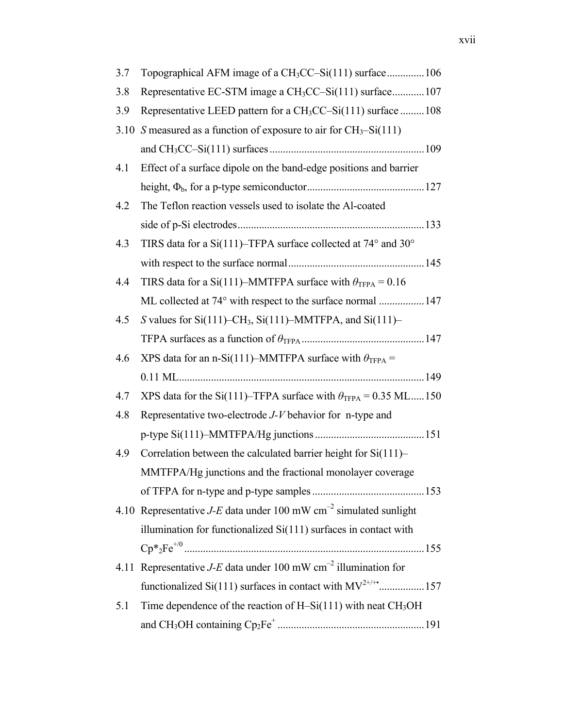| 3.7  | Topographical AFM image of a CH <sub>3</sub> CC–Si(111) surface106            |
|------|-------------------------------------------------------------------------------|
| 3.8  | Representative EC-STM image a CH <sub>3</sub> CC-Si(111) surface107           |
| 3.9  | Representative LEED pattern for a CH <sub>3</sub> CC–Si(111) surface 108      |
| 3.10 | S measured as a function of exposure to air for $CH_3-Si(111)$                |
|      |                                                                               |
| 4.1  | Effect of a surface dipole on the band-edge positions and barrier             |
|      |                                                                               |
| 4.2  | The Teflon reaction vessels used to isolate the Al-coated                     |
|      |                                                                               |
| 4.3  | TIRS data for a Si(111)-TFPA surface collected at 74° and 30°                 |
|      |                                                                               |
| 4.4  | TIRS data for a Si(111)–MMTFPA surface with $\theta_{TFPA} = 0.16$            |
|      | ML collected at 74° with respect to the surface normal  147                   |
| 4.5  | S values for $Si(111)$ –CH <sub>3</sub> , $Si(111)$ –MMTFPA, and $Si(111)$ –  |
|      |                                                                               |
| 4.6  | XPS data for an n-Si(111)–MMTFPA surface with $\theta_{TFPA}$ =               |
|      |                                                                               |
| 4.7  | XPS data for the Si(111)–TFPA surface with $\theta_{TFPA} = 0.35$ ML150       |
| 4.8  | Representative two-electrode J-V behavior for n-type and                      |
|      |                                                                               |
| 4.9  | Correlation between the calculated barrier height for Si(111)–                |
|      | MMTFPA/Hg junctions and the fractional monolayer coverage                     |
|      |                                                                               |
|      | 4.10 Representative <i>J-E</i> data under 100 mW $cm^{-2}$ simulated sunlight |
|      | illumination for functionalized $Si(111)$ surfaces in contact with            |
|      |                                                                               |
| 4.11 | Representative $J-E$ data under 100 mW cm <sup>-2</sup> illumination for      |
|      | functionalized Si(111) surfaces in contact with $MV^{2+/+}$ 157               |
| 5.1  | Time dependence of the reaction of H-Si $(111)$ with neat CH <sub>3</sub> OH  |
|      |                                                                               |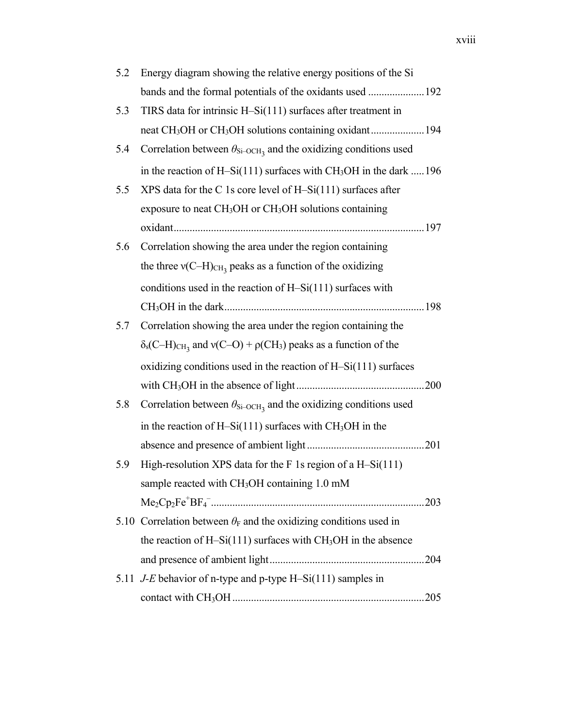| 5.2 | Energy diagram showing the relative energy positions of the Si                                               |
|-----|--------------------------------------------------------------------------------------------------------------|
|     | bands and the formal potentials of the oxidants used  192                                                    |
| 5.3 | TIRS data for intrinsic H-Si(111) surfaces after treatment in                                                |
|     |                                                                                                              |
| 5.4 | Correlation between $\theta_{\text{Si-OCH}_3}$ and the oxidizing conditions used                             |
|     | in the reaction of H-Si(111) surfaces with $CH3OH$ in the dark 196                                           |
| 5.5 | XPS data for the C 1s core level of $H-Si(111)$ surfaces after                                               |
|     | exposure to neat $CH3OH$ or $CH3OH$ solutions containing                                                     |
|     |                                                                                                              |
| 5.6 | Correlation showing the area under the region containing                                                     |
|     | the three $v(C-H)_{CH_3}$ peaks as a function of the oxidizing                                               |
|     | conditions used in the reaction of $H-Si(111)$ surfaces with                                                 |
|     |                                                                                                              |
| 5.7 | Correlation showing the area under the region containing the                                                 |
|     | $\delta_s$ (C-H) <sub>CH<sub>3</sub></sub> and v(C-O) + $\rho$ (CH <sub>3</sub> ) peaks as a function of the |
|     | oxidizing conditions used in the reaction of $H-Si(111)$ surfaces                                            |
|     |                                                                                                              |
| 5.8 | Correlation between $\theta_{\text{Si-OCH}_3}$ and the oxidizing conditions used                             |
|     | in the reaction of H-Si(111) surfaces with $CH3OH$ in the                                                    |
|     |                                                                                                              |
| 5.9 | High-resolution XPS data for the $F$ 1s region of a H-Si $(111)$                                             |
|     | sample reacted with CH <sub>3</sub> OH containing 1.0 mM                                                     |
|     |                                                                                                              |
|     | 5.10 Correlation between $\theta_F$ and the oxidizing conditions used in                                     |
|     | the reaction of H-Si(111) surfaces with $CH3OH$ in the absence                                               |
|     |                                                                                                              |
|     | 5.11 J-E behavior of n-type and p-type H-Si(111) samples in                                                  |
|     |                                                                                                              |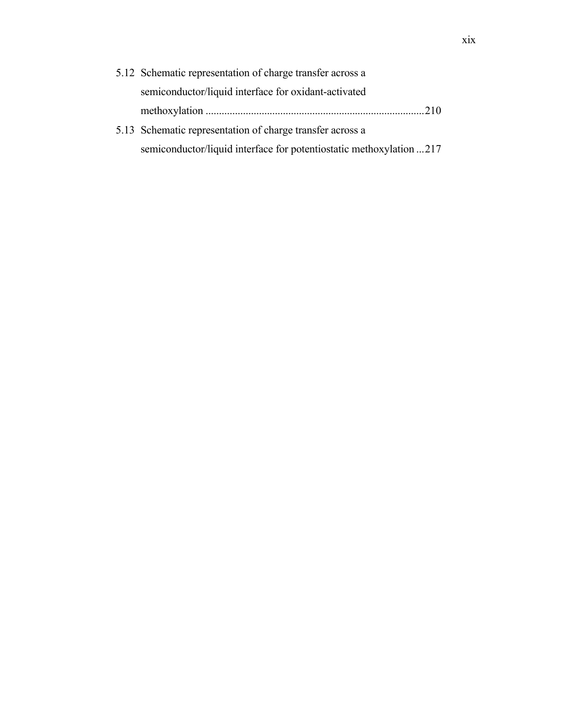| 5.12 Schematic representation of charge transfer across a           |
|---------------------------------------------------------------------|
| semiconductor/liquid interface for oxidant-activated                |
|                                                                     |
| 5.13 Schematic representation of charge transfer across a           |
| semiconductor/liquid interface for potentiostatic methoxylation 217 |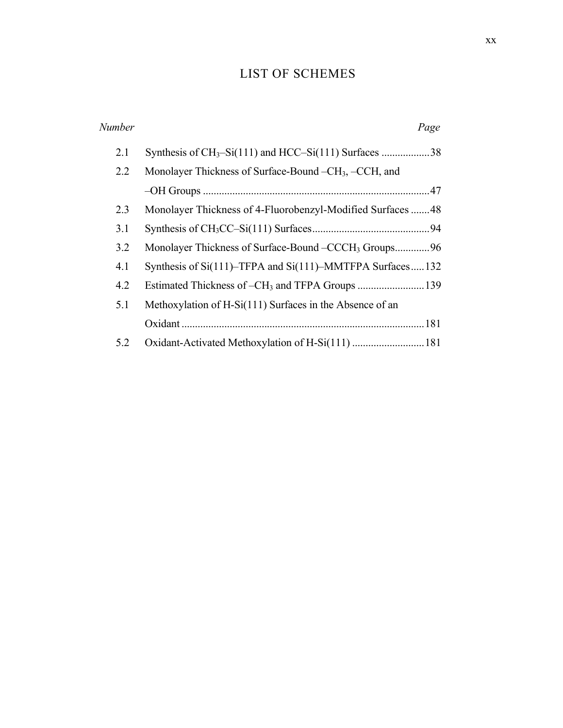# LIST OF SCHEMES

| Number | Page                                                              |
|--------|-------------------------------------------------------------------|
| 2.1    |                                                                   |
| 2.2    | Monolayer Thickness of Surface-Bound –CH <sub>3</sub> , –CCH, and |
|        |                                                                   |
| 2.3    | Monolayer Thickness of 4-Fluorobenzyl-Modified Surfaces48         |
| 3.1    |                                                                   |
| 3.2    | Monolayer Thickness of Surface-Bound – CCCH <sub>3</sub> Groups96 |
| 4.1    | Synthesis of Si(111)–TFPA and Si(111)–MMTFPA Surfaces132          |
| 4.2    |                                                                   |
| 5.1    | Methoxylation of H-Si(111) Surfaces in the Absence of an          |
|        |                                                                   |
| 5.2    |                                                                   |